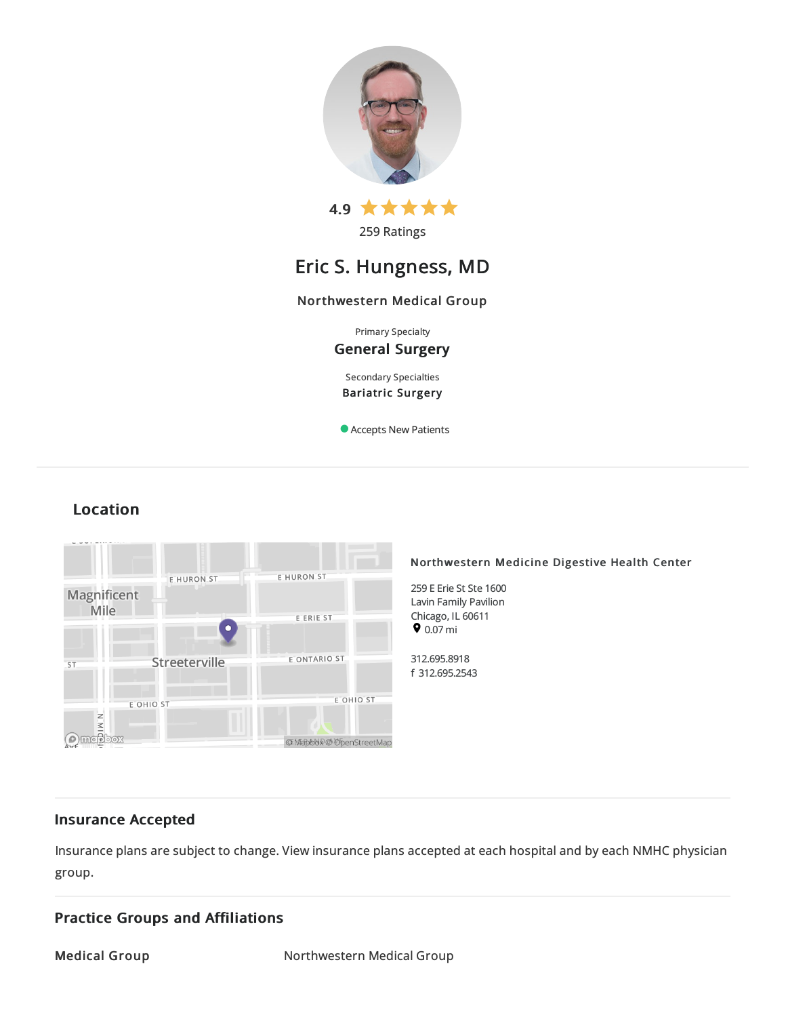

259 Ratings

# Eric S. Hungness, MD

## Northwestern Medical Group

Primary Specialty General Surgery

Secondary Specialties Bariatric Surgery

Accepts New Patients

## Location



## Insurance Accepted

Insurance plans are subject to change. View [insurance](https://www.nm.org/patients-and-visitors/billing-and-insurance/insurance-information/accepted-insurance-plans) plans accepted at each hospital and by each NMHC physician group.

## Practice Groups and Affiliations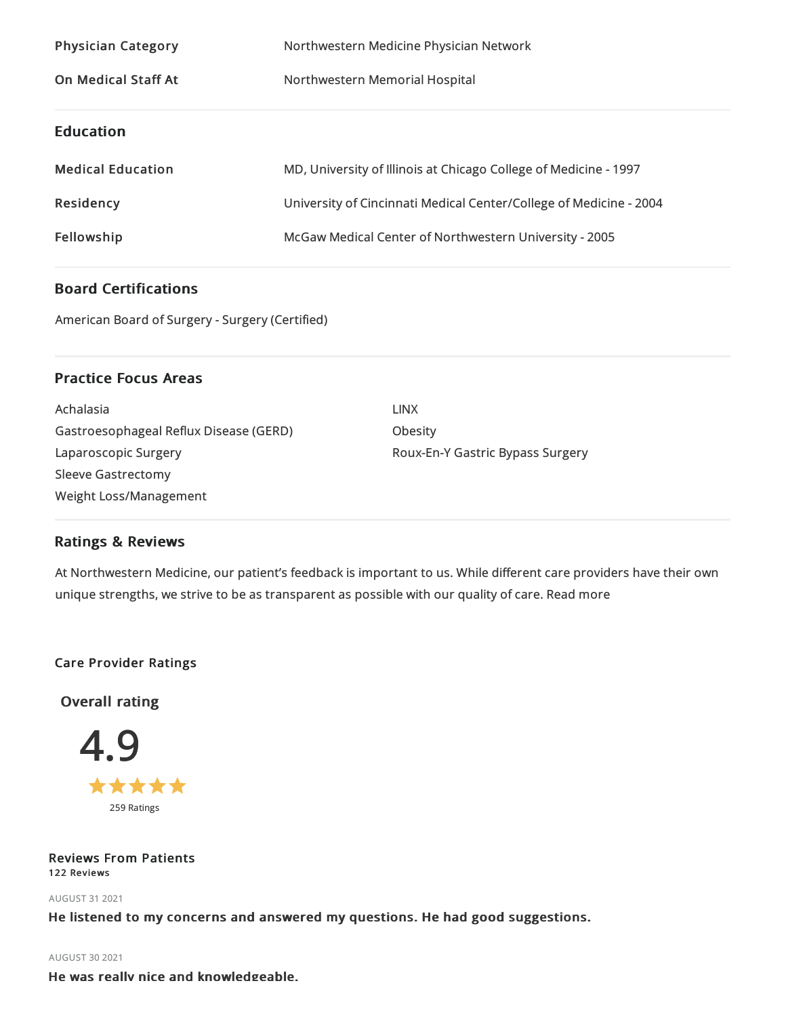| <b>Physician Category</b>  | Northwestern Medicine Physician Network                            |
|----------------------------|--------------------------------------------------------------------|
| <b>On Medical Staff At</b> | Northwestern Memorial Hospital                                     |
| <b>Education</b>           |                                                                    |
| <b>Medical Education</b>   | MD, University of Illinois at Chicago College of Medicine - 1997   |
| Residency                  | University of Cincinnati Medical Center/College of Medicine - 2004 |
| Fellowship                 | McGaw Medical Center of Northwestern University - 2005             |

## Board Certifications

American Board of Surgery - Surgery (Certified)

## Practice Focus Areas

| Achalasia                              |
|----------------------------------------|
| Gastroesophageal Reflux Disease (GERD) |
| Laparoscopic Surgery                   |
| <b>Sleeve Gastrectomy</b>              |
| Weight Loss/Management                 |

LINX Obesity Roux-En-Y Gastric Bypass Surgery

## Ratings & Reviews

At Northwestern Medicine, our patient's feedback is important to us. While different care providers have their own unique strengths, we strive to be as transparent as possible with our quality of care. Read more

## Care Provider Ratings

Overall rating



## Reviews From Patients 122 Reviews

AUGUST 312021

He listened to my concerns and answered my questions. He had good suggestions.

## AUGUST 302021

He was really nice and knowledgeable.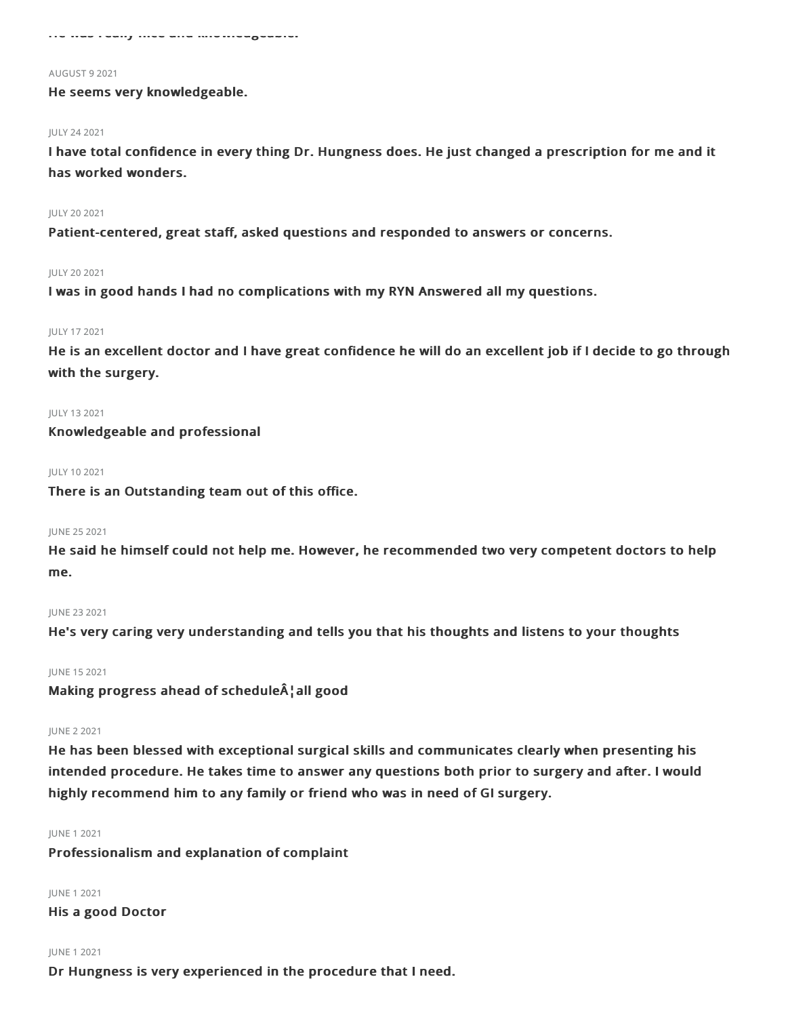He was really nice and knowledgeable.

#### AUGUST 92021

He seems very knowledgeable.

#### JULY 242021

I have total confidence in every thing Dr. Hungness does. He just changed a prescription for me and it has worked wonders.

#### JULY 202021

Patient-centered, great staff, asked questions and responded to answers or concerns.

#### JULY 202021

I was in good hands I had no complications with my RYN Answered all my questions.

#### JULY 172021

He is an excellent doctor and I have great confidence he will do an excellent job if I decide to go through with the surgery.

JULY 132021

Knowledgeable and professional

JULY 102021

There is an Outstanding team out of this office.

#### JUNE 252021

He said he himself could not help me. However, he recommended two very competent doctors to help me.

### JUNE 232021

He's very caring very understanding and tells you that his thoughts and listens to your thoughts

## JUNE 152021

Making progress ahead of schedule¦all good

#### JUNE 22021

He has been blessed with exceptional surgical skills and communicates clearly when presenting his intended procedure. He takes time to answer any questions both prior to surgery and after. I would highly recommend him to any family or friend who was in need of GI surgery.

#### JUNE 12021

Professionalism and explanation of complaint

JUNE 12021

His a good Doctor

#### JUNE 12021

Dr Hungness is very experienced in the procedure that I need.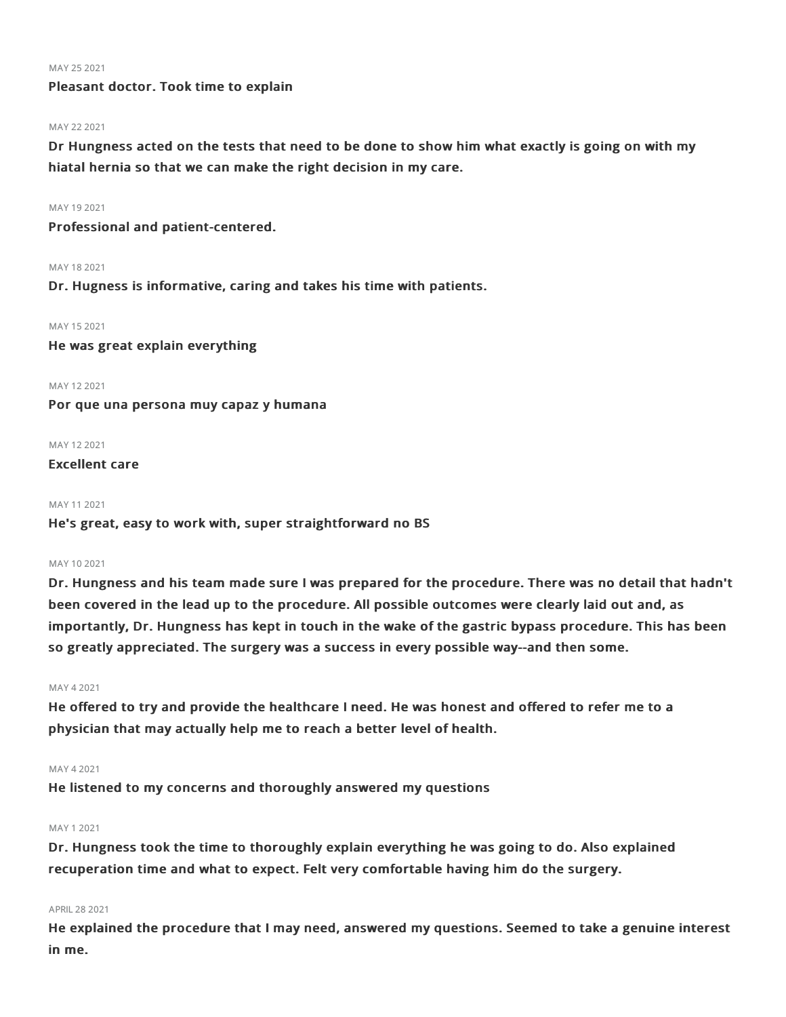#### MAY 25 2021

## Pleasant doctor. Took time to explain

### MAY 22 2021

Dr Hungness acted on the tests that need to be done to show him what exactly is going on with my hiatal hernia so that we can make the right decision in my care.

## MAY 192021

Professional and patient-centered.

MAY 18 2021

Dr. Hugness is informative, caring and takes his time with patients.

MAY 15 2021

He was great explain everything

MAY 122021

Por que una persona muy capaz y humana

MAY 122021

Excellent care

#### MAY 112021

He's great, easy to work with, super straightforward no BS

#### MAY 102021

Dr. Hungness and his team made sure I was prepared for the procedure. There was no detail that hadn't been covered in the lead up to the procedure. All possible outcomes were clearly laid out and, as importantly, Dr. Hungness has kept in touch in the wake of the gastric bypass procedure. This has been so greatly appreciated. The surgery was a success in every possible way--and then some.

#### MAY 42021

He offered to try and provide the healthcare I need. He was honest and offered to refer me to a physician that may actually help me to reach a better level of health.

#### MAY 42021

He listened to my concerns and thoroughly answered my questions

### MAY 12021

Dr. Hungness took the time to thoroughly explain everything he was going to do. Also explained recuperation time and what to expect. Felt very comfortable having him do the surgery.

## APRIL282021

He explained the procedure that I may need, answered my questions. Seemed to take a genuine interest in me.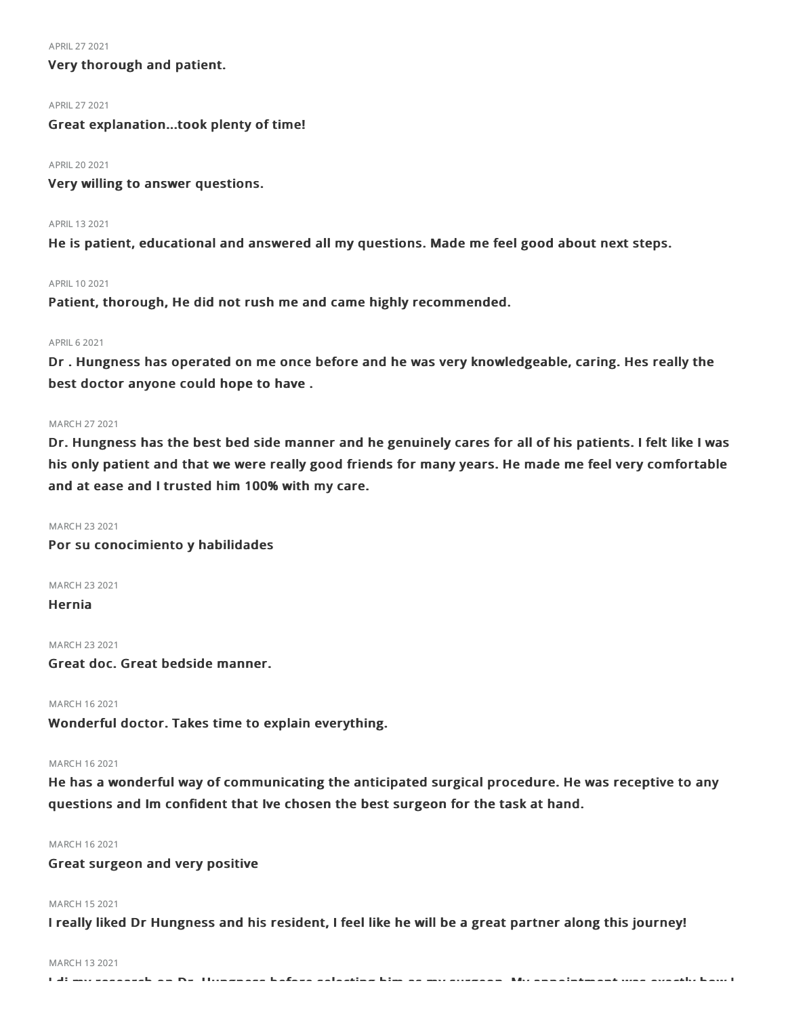#### APRIL272021

## Very thorough and patient.

#### APRIL272021

Great explanation...took plenty of time!

#### APRIL202021

Very willing to answer questions.

#### APRIL 13 2021

He is patient, educational and answered all my questions. Made me feel good about next steps.

#### APRIL 10 2021

Patient, thorough, He did not rush me and came highly recommended.

#### **APRIL 6 2021**

Dr . Hungness has operated on me once before and he was very knowledgeable, caring. Hes really the best doctor anyone could hope to have .

### MARCH 272021

Dr. Hungness has the best bed side manner and he genuinely cares for all of his patients. I felt like I was his only patient and that we were really good friends for many years. He made me feel very comfortable and at ease and I trusted him 100% with my care.

MARCH 232021

Por su conocimiento y habilidades

MARCH 232021

Hernia

MARCH 232021

Great doc. Great bedside manner.

MARCH 162021

Wonderful doctor. Takes time to explain everything.

#### MARCH 162021

He has a wonderful way of communicating the anticipated surgical procedure. He was receptive to any questions and Im confident that Ive chosen the best surgeon for the task at hand.

### MARCH 162021

Great surgeon and very positive

## MARCH 152021

I really liked Dr Hungness and his resident, I feel like he will be a great partner along this journey!

#### MARCH 132021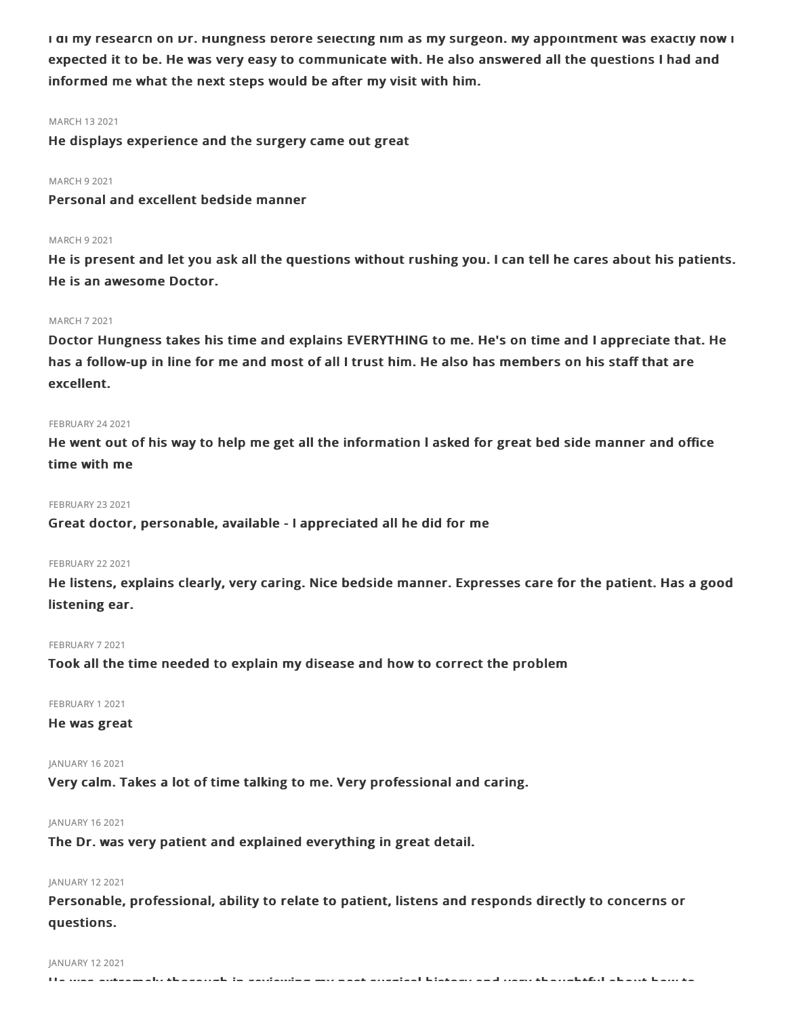I di my research on Dr. Hungness before selecting him as my surgeon. My appointment was exactly now I expected it to be. He was very easy to communicate with. He also answered all the questions I had and informed me what the next steps would be after my visit with him.

#### MARCH 132021

He displays experience and the surgery came out great

### MARCH 92021

Personal and excellent bedside manner

#### MARCH 92021

He is present and let you ask all the questions without rushing you. I can tell he cares about his patients. He is an awesome Doctor.

#### MARCH 72021

Doctor Hungness takes his time and explains EVERYTHING to me. He's on time and I appreciate that. He has a follow-up in line for me and most of all I trust him. He also has members on his staff that are excellent.

#### **FEBRUARY 24 2021**

He went out of his way to help me get all the information l asked for great bed side manner and office time with me

#### **FEBRUARY 23 2021**

Great doctor, personable, available - I appreciated all he did for me

## **FEBRUARY 22 2021**

He listens, explains clearly, very caring. Nice bedside manner. Expresses care for the patient. Has a good listening ear.

#### FEBRUARY 72021

Took all the time needed to explain my disease and how to correct the problem

FEBRUARY 12021

### He was great

## JANUARY 162021

Very calm. Takes a lot of time talking to me. Very professional and caring.

#### JANUARY 162021

The Dr. was very patient and explained everything in great detail.

## JANUARY 122021

Personable, professional, ability to relate to patient, listens and responds directly to concerns or questions.

#### JANUARY 122021

He was extremely thorough in reviewing my past surgical history and very thoughtful about how to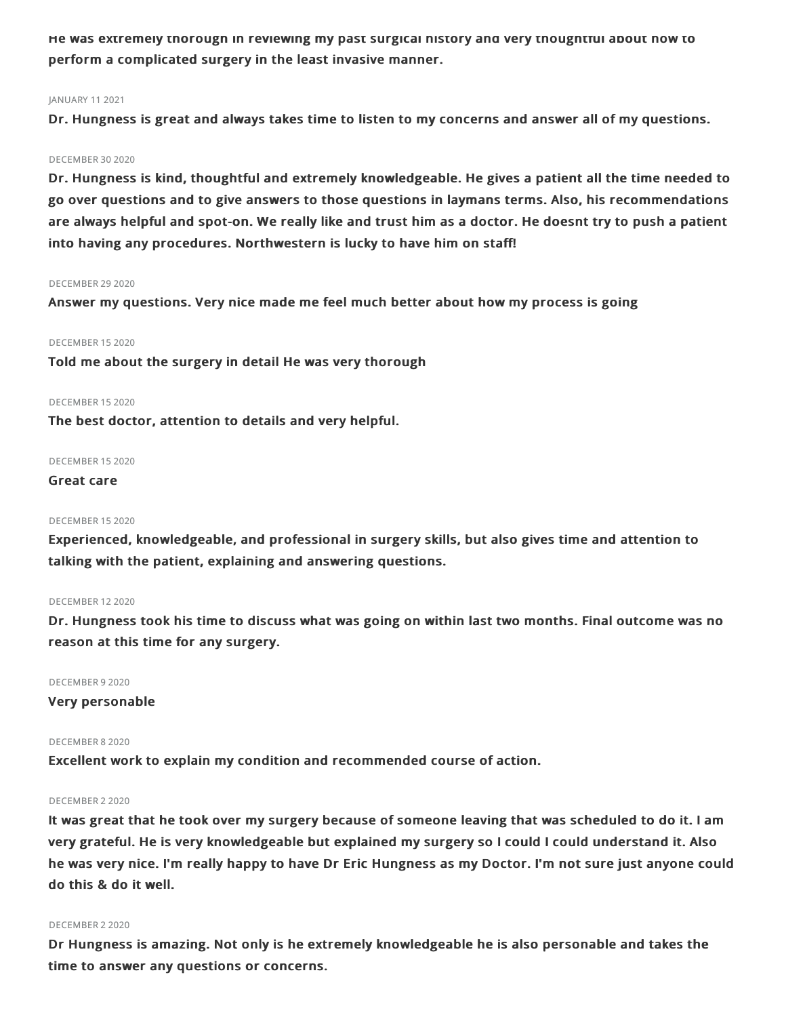He was extremely thorough in reviewing my past surgical history and very thoughtful about how to perform a complicated surgery in the least invasive manner.

## JANUARY 112021

Dr. Hungness is great and always takes time to listen to my concerns and answer all of my questions.

#### DECEMBER 302020

Dr. Hungness is kind, thoughtful and extremely knowledgeable. He gives a patient all the time needed to go over questions and to give answers to those questions in laymans terms. Also, his recommendations are always helpful and spot-on. We really like and trust him as a doctor. He doesnt try to push a patient into having any procedures. Northwestern is lucky to have him on staff!

## DECEMBER 29 2020

Answer my questions. Very nice made me feel much better about how my process is going

#### DECEMBER 152020

Told me about the surgery in detail He was very thorough

## DECEMBER 152020

The best doctor, attention to details and very helpful.

#### DECEMBER 152020

Great care

#### DECEMBER 152020

Experienced, knowledgeable, and professional in surgery skills, but also gives time and attention to talking with the patient, explaining and answering questions.

### DECEMBER 122020

Dr. Hungness took his time to discuss what was going on within last two months. Final outcome was no reason at this time for any surgery.

DECEMBER 92020

Very personable

### DECEMBER 82020

Excellent work to explain my condition and recommended course of action.

### DECEMBER 22020

It was great that he took over my surgery because of someone leaving that was scheduled to do it. I am very grateful. He is very knowledgeable but explained my surgery so I could I could understand it. Also he was very nice. I'm really happy to have Dr Eric Hungness as my Doctor. I'm not sure just anyone could do this & do it well.

#### DECEMBER 22020

Dr Hungness is amazing. Not only is he extremely knowledgeable he is also personable and takes the time to answer any questions or concerns.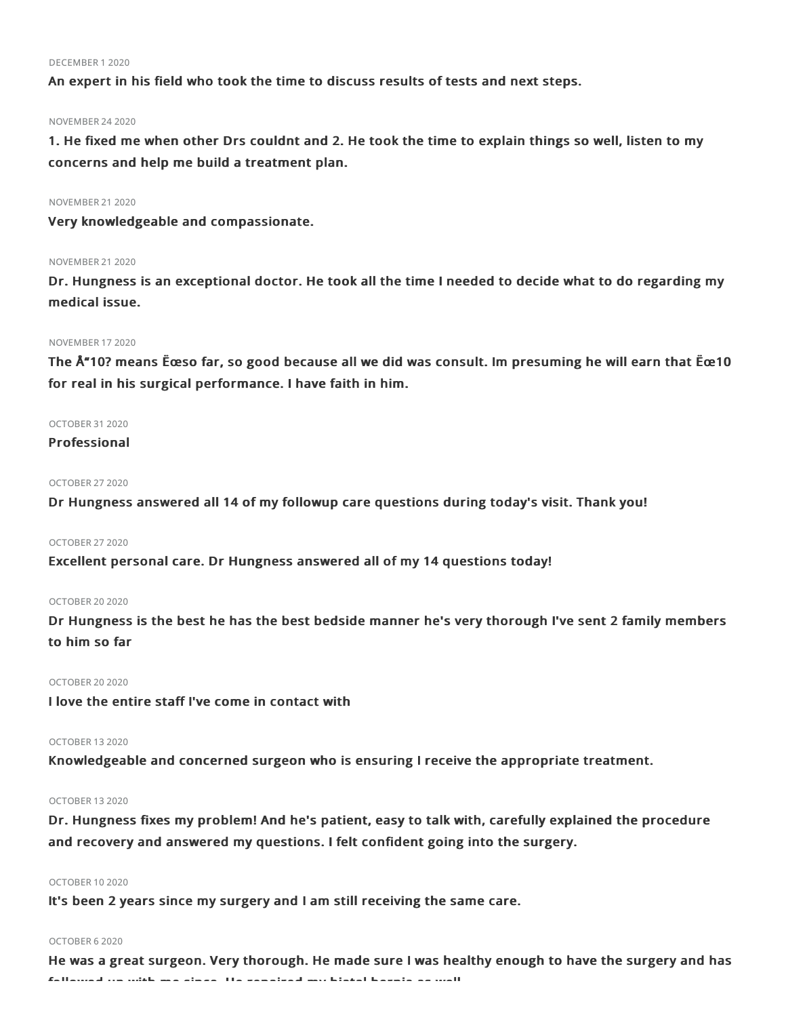#### DECEMBER 12020

An expert in his field who took the time to discuss results of tests and next steps.

#### NOVEMBER 242020

1. He fixed me when other Drs couldnt and 2. He took the time to explain things so well, listen to my concerns and help me build a treatment plan.

#### NOVEMBER 212020

Very knowledgeable and compassionate.

#### **NOVEMBER 21 2020**

Dr. Hungness is an exceptional doctor. He took all the time I needed to decide what to do regarding my medical issue.

### NOVEMBER 172020

The Å"10? means Ëœso far, so good because all we did was consult. Im presuming he will earn that Ëœ10 for real in his surgical performance. I have faith in him.

## OCTOBER 312020

## Professional

## OCTOBER 272020

Dr Hungness answered all 14 of my followup care questions during today's visit. Thank you!

## OCTOBER 272020

Excellent personal care. Dr Hungness answered all of my 14 questions today!

#### OCTOBER 20 2020

Dr Hungness is the best he has the best bedside manner he's very thorough I've sent 2 family members to him so far

## OCTOBER 20 2020

I love the entire staff I've come in contact with

### OCTOBER 132020

Knowledgeable and concerned surgeon who is ensuring I receive the appropriate treatment.

### OCTOBER 132020

Dr. Hungness fixes my problem! And he's patient, easy to talk with, carefully explained the procedure and recovery and answered my questions. I felt confident going into the surgery.

## OCTOBER 102020

It's been 2 years since my surgery and I am still receiving the same care.

#### OCTOBER 62020

He was a great surgeon. Very thorough. He made sure I was healthy enough to have the surgery and has followed up with me since. He repaired my hiatal hernia as well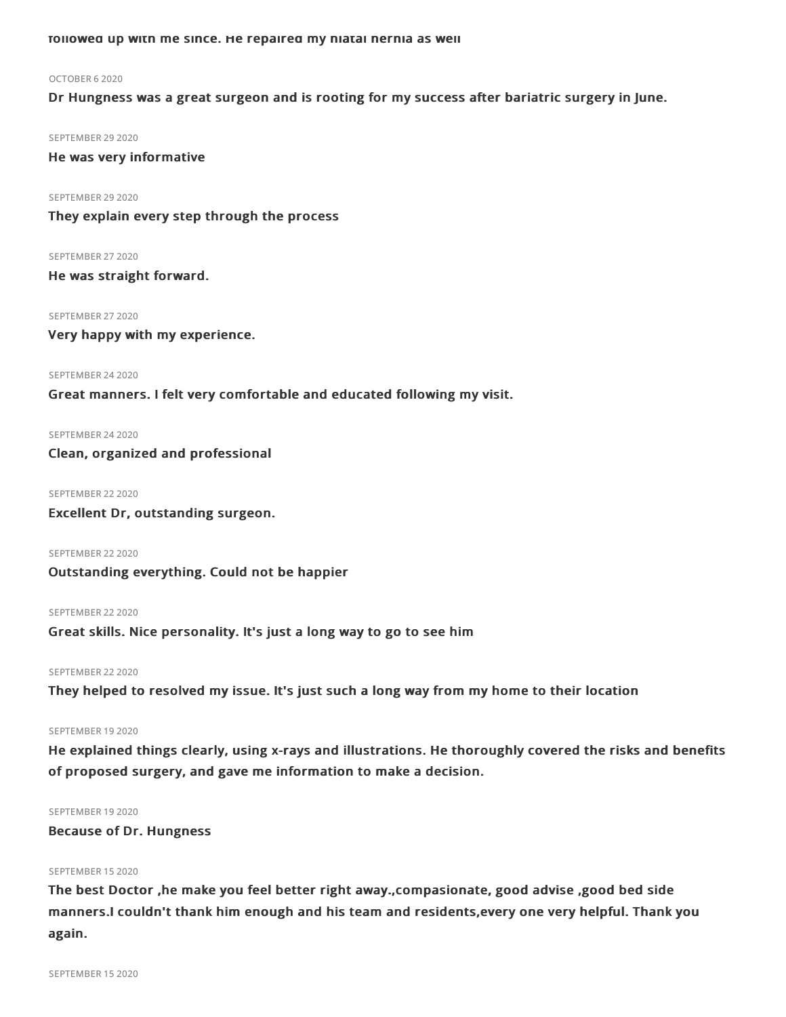followed up with me since. He repaired my hiatal hernia as well

#### OCTOBER 62020

Dr Hungness was a great surgeon and is rooting for my success after bariatric surgery in June.

SEPTEMBER 29 2020

He was very informative

SEPTEMBER 29 2020

They explain every step through the process

SEPTEMBER 27 2020 He was straight forward.

SEPTEMBER 27 2020

Very happy with my experience.

SEPTEMBER 24 2020

Great manners. I felt very comfortable and educated following my visit.

SEPTEMBER 24 2020

Clean, organized and professional

SEPTEMBER 22 2020

Excellent Dr, outstanding surgeon.

SEPTEMBER 22 2020 Outstanding everything. Could not be happier

SEPTEMBER 22 2020 Great skills. Nice personality. It's just a long way to go to see him

SEPTEMBER 22 2020

They helped to resolved my issue. It's just such a long way from my home to their location

#### SEPTEMBER 19 2020

He explained things clearly, using x-rays and illustrations. He thoroughly covered the risks and benefits of proposed surgery, and gave me information to make a decision.

### SEPTEMBER 19 2020

Because of Dr. Hungness

### SEPTEMBER 15 2020

The best Doctor ,he make you feel better right away.,compasionate, good advise ,good bed side manners.I couldn't thank him enough and his team and residents,every one very helpful. Thank you again.